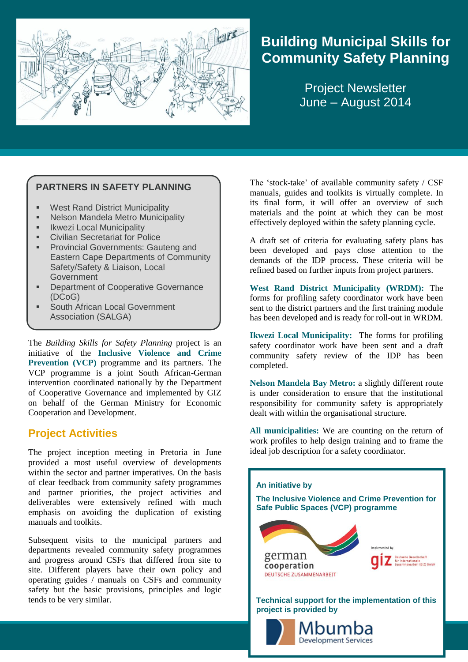

# **Building Municipal Skills for Community Safety Planning**

Project Newsletter June – August 2014

#### **PARTNERS IN SAFETY PLANNING**

- West Rand District Municipality
- Nelson Mandela Metro Municipality
- Ikwezi Local Municipality
- **Civilian Secretariat for Police**
- Provincial Governments: Gauteng and Eastern Cape Departments of Community Safety/Safety & Liaison, Local Government
- Department of Cooperative Governance (DCoG)
- South African Local Government Association (SALGA)

The *Building Skills for Safety Planning* project is an initiative of the **Inclusive Violence and Crime Prevention (VCP)** programme and its partners. The VCP programme is a joint South African-German intervention coordinated nationally by the Department of Cooperative Governance and implemented by GIZ on behalf of the German Ministry for Economic Cooperation and Development.

### **Project Activities**

The project inception meeting in Pretoria in June provided a most useful overview of developments within the sector and partner imperatives. On the basis of clear feedback from community safety programmes and partner priorities, the project activities and deliverables were extensively refined with much emphasis on avoiding the duplication of existing manuals and toolkits.

Subsequent visits to the municipal partners and departments revealed community safety programmes and progress around CSFs that differed from site to site. Different players have their own policy and operating guides / manuals on CSFs and community safety but the basic provisions, principles and logic tends to be very similar.

The 'stock-take' of available community safety / CSF manuals, guides and toolkits is virtually complete. In its final form, it will offer an overview of such materials and the point at which they can be most effectively deployed within the safety planning cycle.

A draft set of criteria for evaluating safety plans has been developed and pays close attention to the demands of the IDP process. These criteria will be refined based on further inputs from project partners.

**West Rand District Municipality (WRDM):** The forms for profiling safety coordinator work have been sent to the district partners and the first training module has been developed and is ready for roll-out in WRDM.

**Ikwezi Local Municipality:** The forms for profiling safety coordinator work have been sent and a draft community safety review of the IDP has been completed.

**Nelson Mandela Bay Metro:** a slightly different route is under consideration to ensure that the institutional responsibility for community safety is appropriately dealt with within the organisational structure.

**All municipalities:** We are counting on the return of work profiles to help design training and to frame the ideal job description for a safety coordinator.

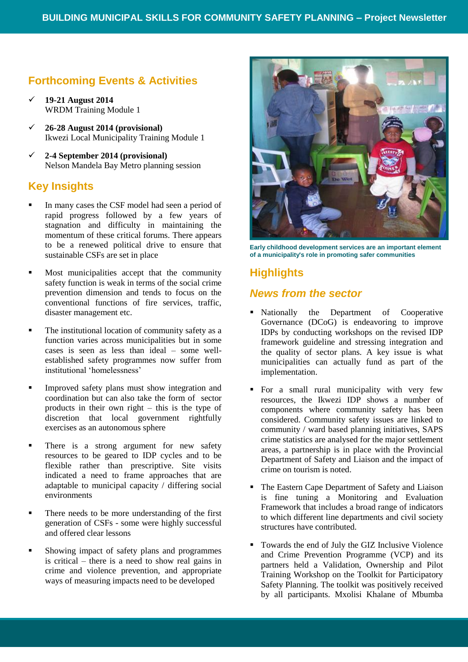### **Forthcoming Events & Activities**

- **19-21 August 2014**  WRDM Training Module 1
- **26-28 August 2014 (provisional)** Ikwezi Local Municipality Training Module 1
- **2-4 September 2014 (provisional)** Nelson Mandela Bay Metro planning session

#### **Key Insights**

- In many cases the CSF model had seen a period of rapid progress followed by a few years of stagnation and difficulty in maintaining the momentum of these critical forums. There appears to be a renewed political drive to ensure that sustainable CSFs are set in place
- Most municipalities accept that the community safety function is weak in terms of the social crime prevention dimension and tends to focus on the conventional functions of fire services, traffic, disaster management etc.
- The institutional location of community safety as a function varies across municipalities but in some cases is seen as less than ideal – some wellestablished safety programmes now suffer from institutional 'homelessness'
- Improved safety plans must show integration and coordination but can also take the form of sector products in their own right – this is the type of discretion that local government rightfully exercises as an autonomous sphere
- There is a strong argument for new safety resources to be geared to IDP cycles and to be flexible rather than prescriptive. Site visits indicated a need to frame approaches that are adaptable to municipal capacity / differing social environments
- There needs to be more understanding of the first generation of CSFs - some were highly successful and offered clear lessons
- Showing impact of safety plans and programmes is critical – there is a need to show real gains in crime and violence prevention, and appropriate ways of measuring impacts need to be developed



**Early childhood development services are an important element of a municipality's role in promoting safer communities**

## **Highlights**

#### *News from the sector*

- Nationally the Department of Cooperative Governance (DCoG) is endeavoring to improve IDPs by conducting workshops on the revised IDP framework guideline and stressing integration and the quality of sector plans. A key issue is what municipalities can actually fund as part of the implementation.
- For a small rural municipality with very few resources, the Ikwezi IDP shows a number of components where community safety has been considered. Community safety issues are linked to community / ward based planning initiatives, SAPS crime statistics are analysed for the major settlement areas, a partnership is in place with the Provincial Department of Safety and Liaison and the impact of crime on tourism is noted.
- The Eastern Cape Department of Safety and Liaison is fine tuning a Monitoring and Evaluation Framework that includes a broad range of indicators to which different line departments and civil society structures have contributed.
- Towards the end of July the GIZ Inclusive Violence and Crime Prevention Programme (VCP) and its partners held a Validation, Ownership and Pilot Training Workshop on the Toolkit for Participatory Safety Planning. The toolkit was positively received by all participants. Mxolisi Khalane of Mbumba